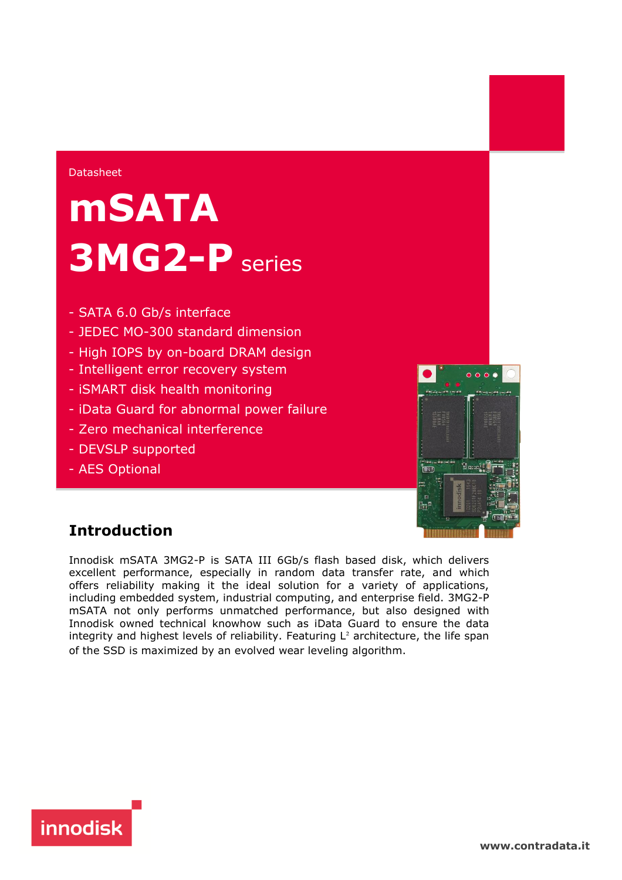#### Datasheet

# **mSATA 3MG2-P** series

- SATA 6.0 Gb/s interface
- JEDEC MO-300 standard dimension
- High IOPS by on-board DRAM design
- Intelligent error recovery system
- iSMART disk health monitoring
- iData Guard for abnormal power failure
- Zero mechanical interference
- DEVSLP supported
- AES Optional



# **Introduction**

Innodisk mSATA 3MG2-P is SATA III 6Gb/s flash based disk, which delivers excellent performance, especially in random data transfer rate, and which offers reliability making it the ideal solution for a variety of applications, including embedded system, industrial computing, and enterprise field. 3MG2-P mSATA not only performs unmatched performance, but also designed with Innodisk owned technical knowhow such as iData Guard to ensure the data integrity and highest levels of reliability. Featuring  $L^2$  architecture, the life span of the SSD is maximized by an evolved wear leveling algorithm.